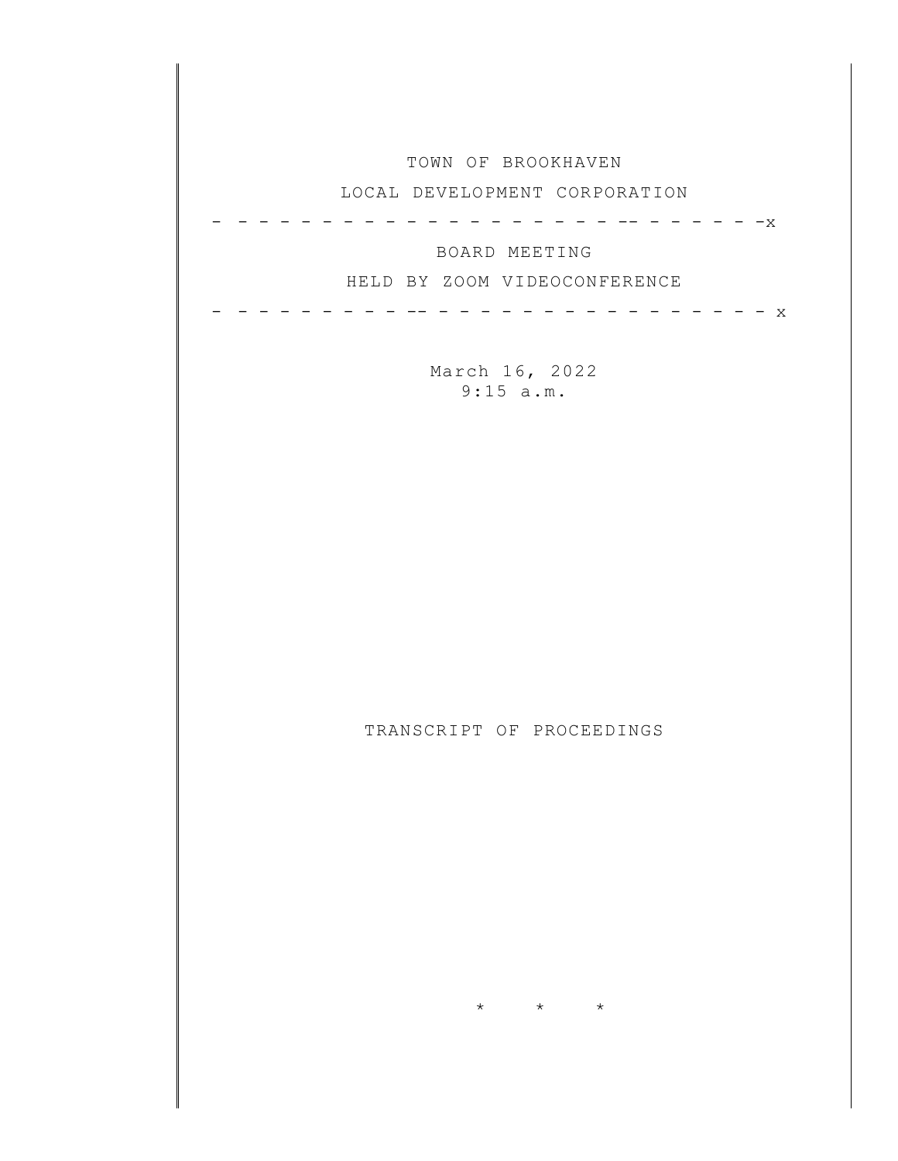| TOWN OF BROOKHAVEN<br>LOCAL DEVELOPMENT CORPORATION                  |
|----------------------------------------------------------------------|
| $-x$<br>BOARD MEETING<br>HELD BY ZOOM VIDEOCONFERENCE<br>$\mathbf x$ |
| March 16, 2022<br>9:15 a.m.                                          |
|                                                                      |
|                                                                      |
| TRANSCRIPT OF PROCEEDINGS                                            |
|                                                                      |
|                                                                      |
| $\star$<br>$\star$<br>$\star$                                        |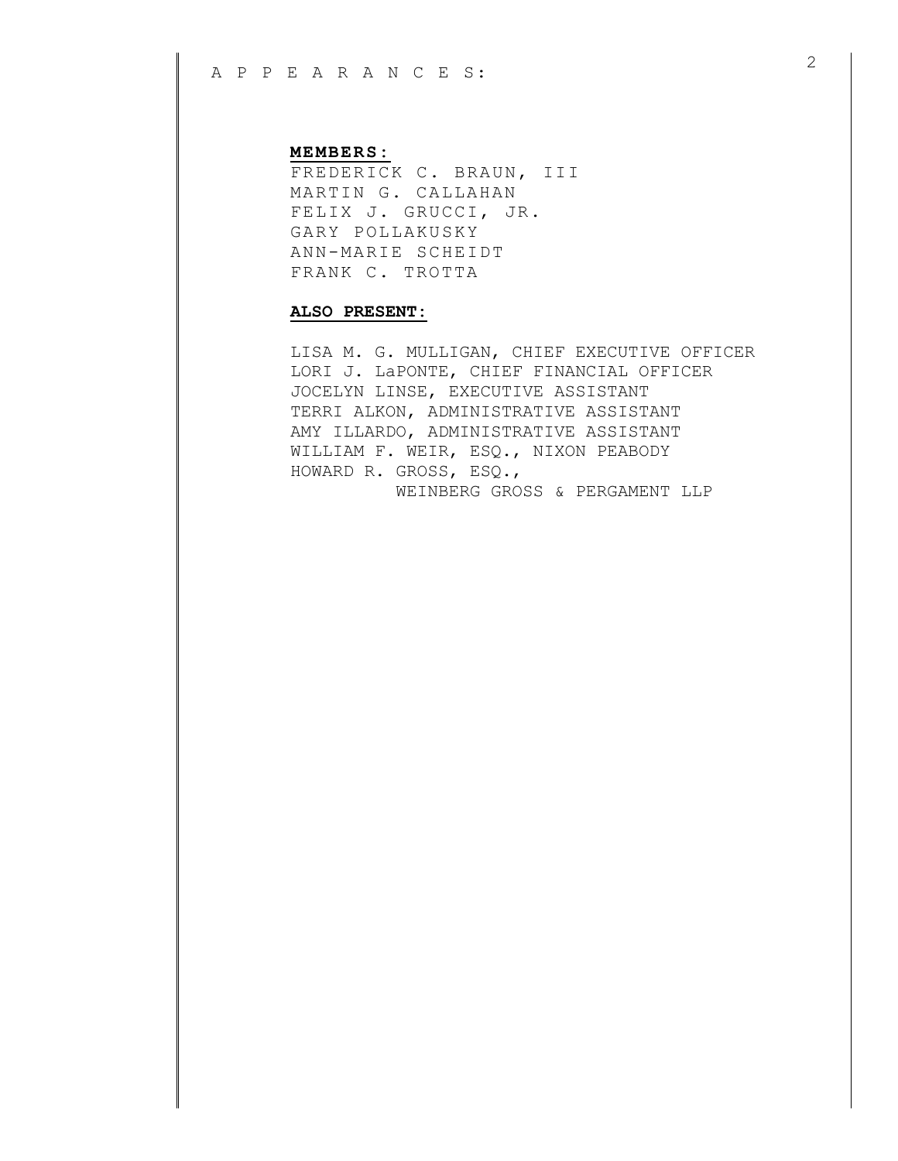## **MEMBERS:**

FREDERICK C. BRAUN, III MARTIN G. CALLAHAN FELIX J. GRUCCI, JR. GARY POLLAKUSKY ANN-MARIE SCHEIDT FRANK C. TROTTA

## **ALSO PRESENT:**

LISA M. G. MULLIGAN, CHIEF EXECUTIVE OFFICER LORI J. LaPONTE, CHIEF FINANCIAL OFFICER JOCELYN LINSE, EXECUTIVE ASSISTANT TERRI ALKON, ADMINISTRATIVE ASSISTANT AMY ILLARDO, ADMINISTRATIVE ASSISTANT WILLIAM F. WEIR, ESQ., NIXON PEABODY HOWARD R. GROSS, ESQ., WEINBERG GROSS & PERGAMENT LLP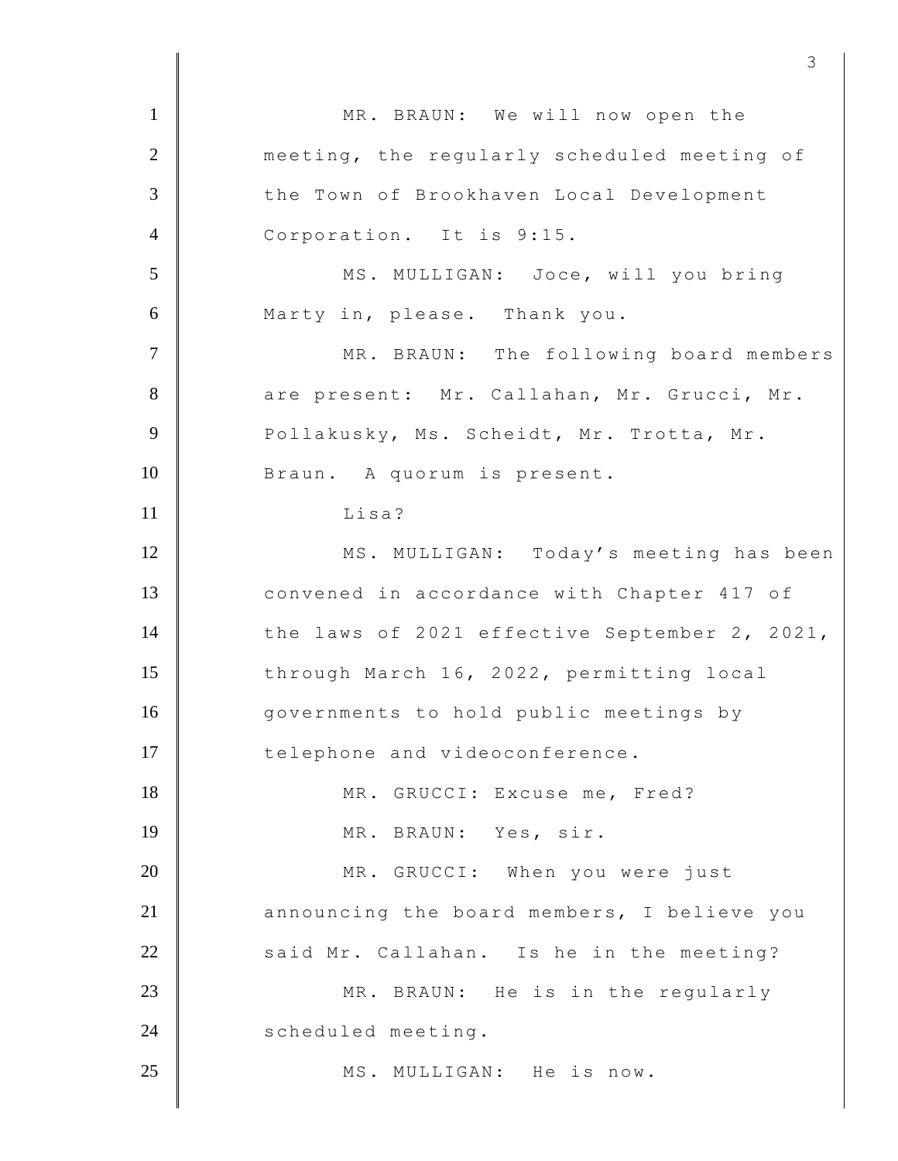| $\mathbf{1}$   | MR. BRAUN: We will now open the               |
|----------------|-----------------------------------------------|
| $\overline{2}$ | meeting, the regularly scheduled meeting of   |
| $\overline{3}$ | the Town of Brookhaven Local Development      |
| $\overline{4}$ | Corporation. It is 9:15.                      |
|                |                                               |
| 5              | MS. MULLIGAN: Joce, will you bring            |
| 6              | Marty in, please. Thank you.                  |
| $\tau$         | MR. BRAUN: The following board members        |
| 8              | are present: Mr. Callahan, Mr. Grucci, Mr.    |
| 9              | Pollakusky, Ms. Scheidt, Mr. Trotta, Mr.      |
| 10             | Braun. A quorum is present.                   |
| 11             | Lisa?                                         |
| 12             | MS. MULLIGAN: Today's meeting has been        |
| 13             | convened in accordance with Chapter 417 of    |
| 14             | the laws of 2021 effective September 2, 2021, |
| 15             | through March 16, 2022, permitting local      |
| 16             | governments to hold public meetings by        |
| 17             | telephone and videoconference.                |
| 18             | MR. GRUCCI: Excuse me, Fred?                  |
| 19             | MR. BRAUN: Yes, sir.                          |
| 20             | MR. GRUCCI: When you were just                |
| 21             | announcing the board members, I believe you   |
| 22             | said Mr. Callahan. Is he in the meeting?      |
| 23             | MR. BRAUN: He is in the regularly             |
| 24             | scheduled meeting.                            |
| 25             | MS. MULLIGAN: He is now.                      |
|                |                                               |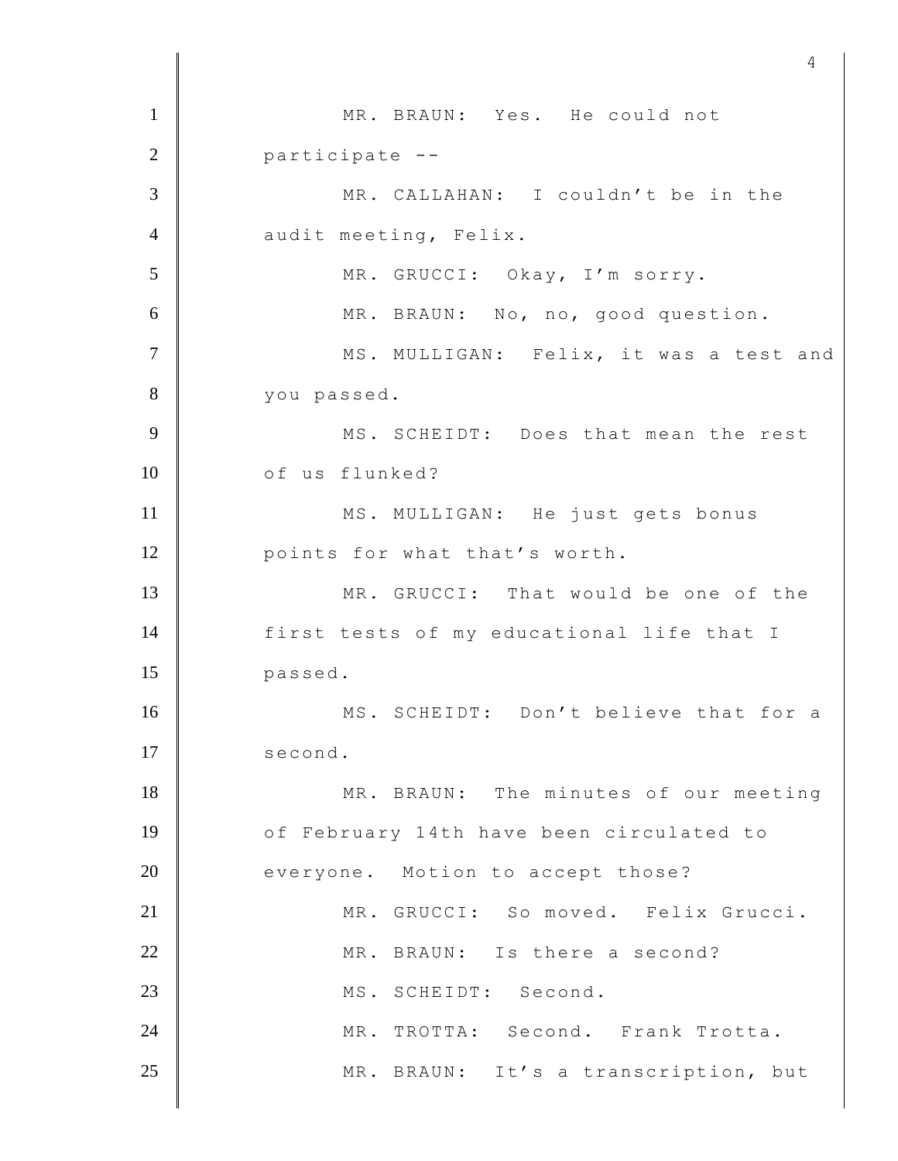1 MR. BRAUN: Yes. He could not 2 participate -- 3 MR. CALLAHAN: I couldn't be in the 4 audit meeting, Felix. 5 MR. GRUCCI: Okay, I'm sorry. 6 MR. BRAUN: No, no, good question. 7 | MS. MULLIGAN: Felix, it was a test and 8 vou passed. 9 MS. SCHEIDT: Does that mean the rest 10 of us flunked? 11 | MS. MULLIGAN: He just gets bonus 12 **points** for what that's worth. 13 MR. GRUCCI: That would be one of the 14 first tests of my educational life that I 15 passed. 16 | MS. SCHEIDT: Don't believe that for a 17 second. 18 MR. BRAUN: The minutes of our meeting 19 **O** of February 14th have been circulated to 20 everyone. Motion to accept those? 21 | MR. GRUCCI: So moved. Felix Grucci. 22 MR. BRAUN: Is there a second? 23 MS. SCHEIDT: Second. 24 MR. TROTTA: Second. Frank Trotta. 25 | MR. BRAUN: It's a transcription, but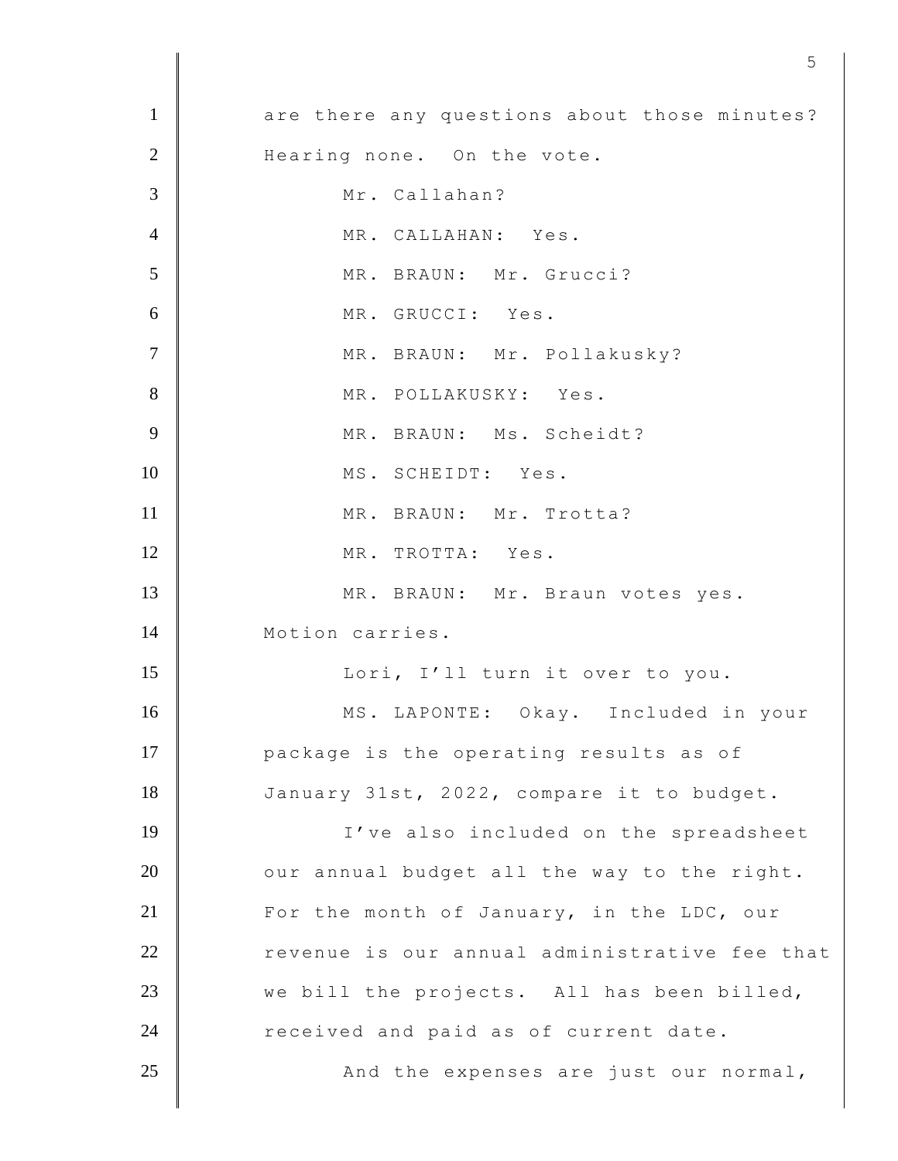1 are there any questions about those minutes? 2 Hearing none. On the vote. 3 Mr. Callahan? 4 MR. CALLAHAN: Yes. 5 MR. BRAUN: Mr. Grucci? 6 MR. GRUCCI: Yes. 7 | MR. BRAUN: Mr. Pollakusky? 8 MR. POLLAKUSKY: Yes. 9 MR. BRAUN: Ms. Scheidt? 10 | MS. SCHEIDT: Yes. 11 MR. BRAUN: Mr. Trotta? 12 MR. TROTTA: Yes. 13 | MR. BRAUN: Mr. Braun votes yes. 14 Motion carries. 15 | Lori, I'll turn it over to you. 16 MS. LAPONTE: Okay. Included in your 17 **package is the operating results as of** 18 January 31st, 2022, compare it to budget. 19 | I've also included on the spreadsheet  $20$   $\parallel$  our annual budget all the way to the right. 21 For the month of January, in the LDC, our 22 revenue is our annual administrative fee that 23 we bill the projects. All has been billed, 24 Teceived and paid as of current date. 25 **And the expenses are just our normal**,

 $5<sup>th</sup>$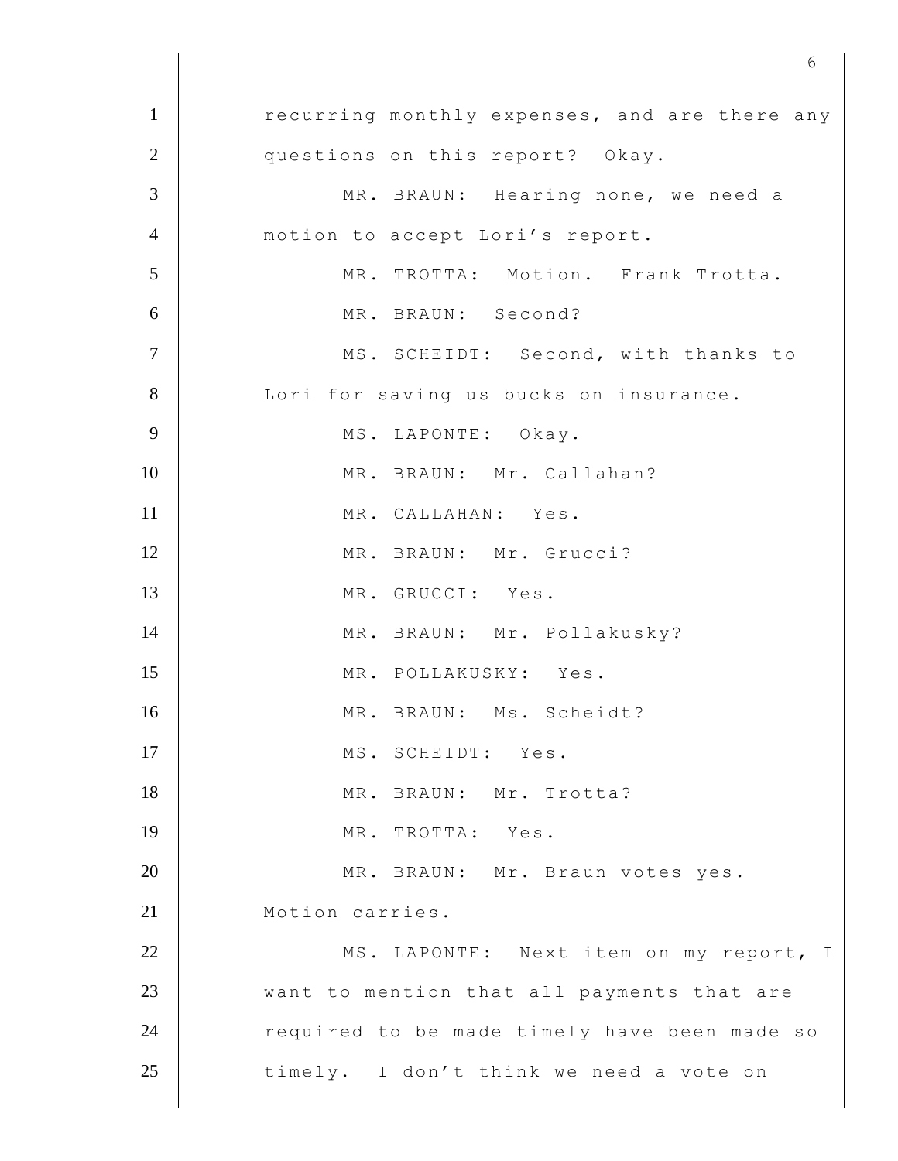1 recurring monthly expenses, and are there any 2 questions on this report? Okay. 3 MR. BRAUN: Hearing none, we need a 4 motion to accept Lori's report. 5 MR. TROTTA: Motion. Frank Trotta. 6 MR. BRAUN: Second? 7 | MS. SCHEIDT: Second, with thanks to 8 Lori for saving us bucks on insurance. 9 MS. LAPONTE: Okay. 10 | MR. BRAUN: Mr. Callahan? 11 MR. CALLAHAN: Yes. 12 MR. BRAUN: Mr. Grucci? 13 MR. GRUCCI: Yes. 14 MR. BRAUN: Mr. Pollakusky? 15 MR. POLLAKUSKY: Yes. 16 MR. BRAUN: Ms. Scheidt? 17 | MS. SCHEIDT: Yes. 18 MR. BRAUN: Mr. Trotta? 19 MR. TROTTA: Yes. 20 MR. BRAUN: Mr. Braun votes yes. 21 Motion carries. 22 MS. LAPONTE: Next item on my report, I 23 **want to mention that all payments that are** 24 Tequired to be made timely have been made so 25 timely. I don't think we need a vote on

 $\sim$  6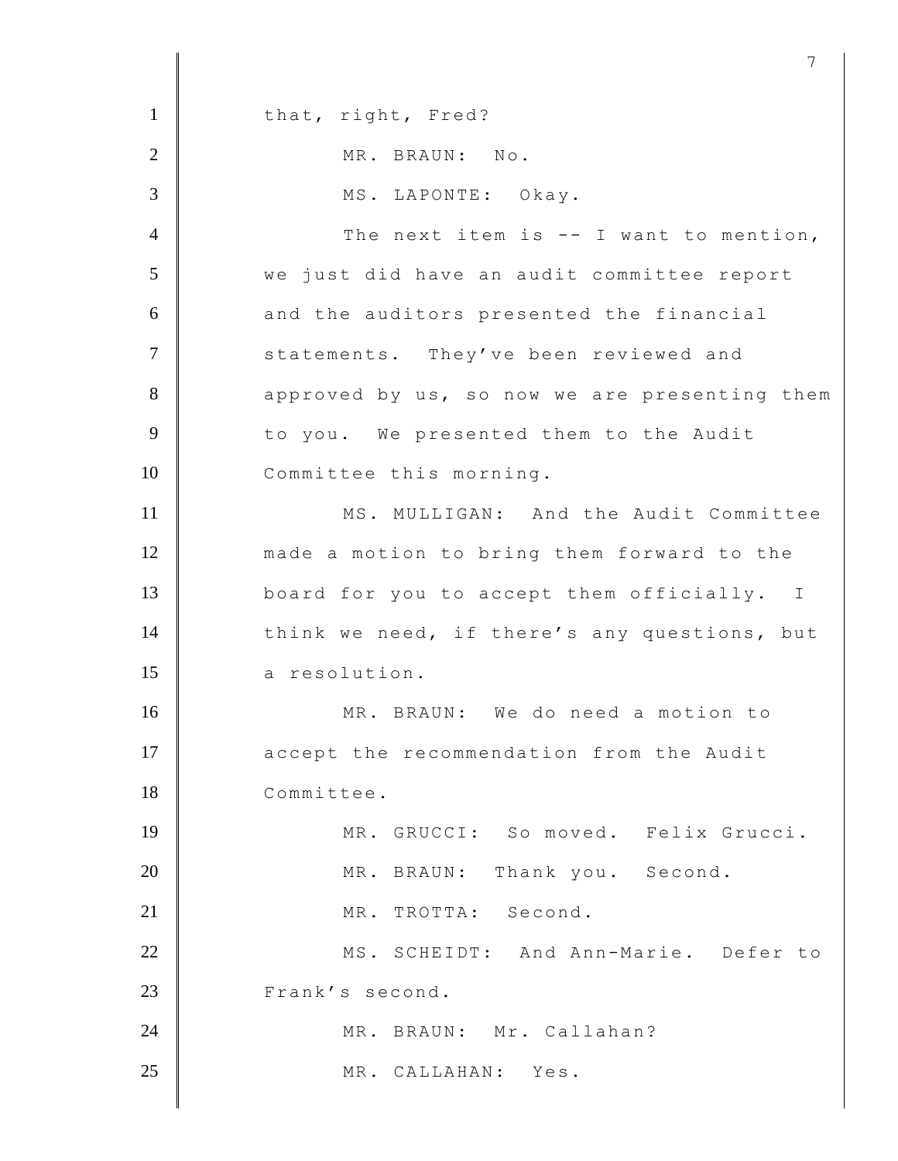1 that, right, Fred? 2 MR. BRAUN: No. 3 MS. LAPONTE: Okay.  $4 \parallel$  The next item is -- I want to mention, 5 we just did have an audit committee report 6 and the auditors presented the financial 7 Statements. They've been reviewed and 8 approved by us, so now we are presenting them 9 to you. We presented them to the Audit 10 Committee this morning. 11 MS. MULLIGAN: And the Audit Committee 12 made a motion to bring them forward to the 13 board for you to accept them officially. I 14 think we need, if there's any questions, but 15 a resolution. 16 | MR. BRAUN: We do need a motion to 17 accept the recommendation from the Audit 18 Committee. 19 MR. GRUCCI: So moved. Felix Grucci. 20 MR. BRAUN: Thank you. Second. 21 MR. TROTTA: Second. 22 MS. SCHEIDT: And Ann-Marie. Defer to 23 Frank's second. 24 MR. BRAUN: Mr. Callahan? 25 MR. CALLAHAN: Yes.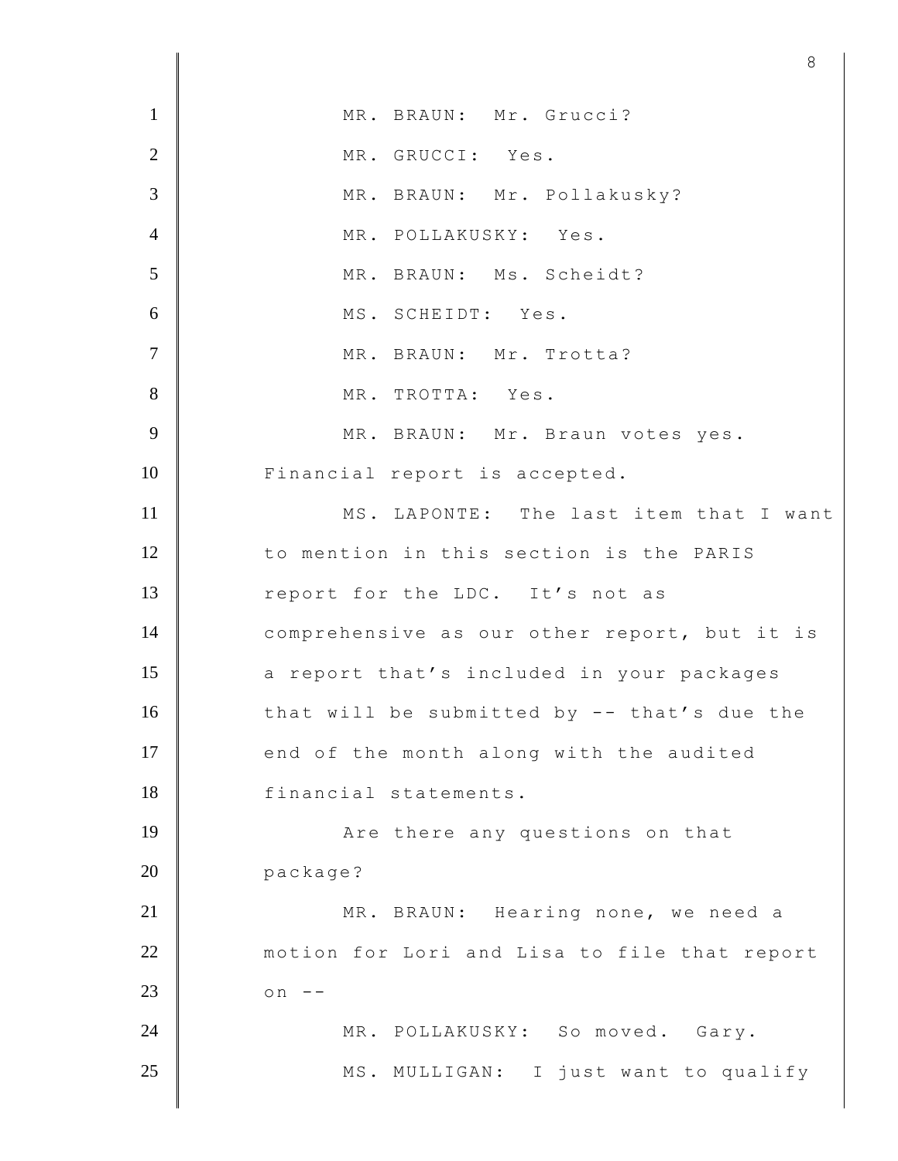|                | $\circ$                                      |
|----------------|----------------------------------------------|
| $\mathbf{1}$   | MR. BRAUN: Mr. Grucci?                       |
| $\overline{2}$ | MR. GRUCCI: Yes.                             |
| 3              | MR. BRAUN: Mr. Pollakusky?                   |
| $\overline{4}$ | MR. POLLAKUSKY: Yes.                         |
| 5              | MR. BRAUN: Ms. Scheidt?                      |
| 6              | MS. SCHEIDT: Yes.                            |
| $\overline{7}$ | MR. BRAUN: Mr. Trotta?                       |
| 8              | MR. TROTTA: Yes.                             |
| 9              | MR. BRAUN: Mr. Braun votes yes.              |
| 10             | Financial report is accepted.                |
| 11             | MS. LAPONTE: The last item that I want       |
| 12             | to mention in this section is the PARIS      |
| 13             | report for the LDC. It's not as              |
| 14             | comprehensive as our other report, but it is |
| 15             | a report that's included in your packages    |
| 16             | that will be submitted by -- that's due the  |
| 17             | end of the month along with the audited      |
| 18             | financial statements.                        |
| 19             | Are there any questions on that              |
| 20             | package?                                     |
| 21             | MR. BRAUN: Hearing none, we need a           |
| 22             | motion for Lori and Lisa to file that report |
| 23             | on                                           |
| 24             | MR. POLLAKUSKY: So moved. Gary.              |
| 25             | MS. MULLIGAN: I just want to qualify         |
|                |                                              |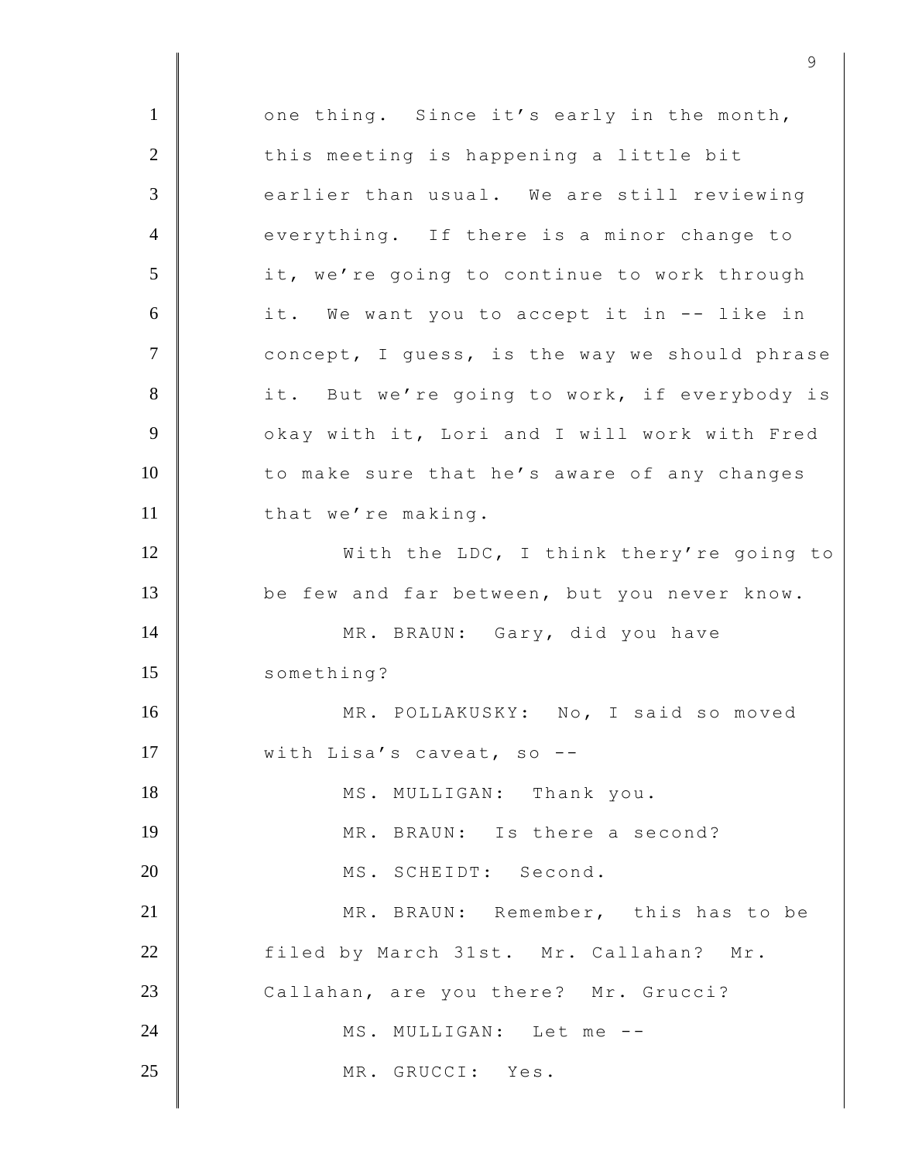1 one thing. Since it's early in the month,  $2$   $\parallel$  this meeting is happening a little bit 3 earlier than usual. We are still reviewing 4 everything. If there is a minor change to 5 it, we're going to continue to work through 6 it. We want you to accept it in -- like in 7 | Concept, I guess, is the way we should phrase 8 it. But we're going to work, if everybody is 9 | Okay with it, Lori and I will work with Fred 10 to make sure that he's aware of any changes 11 that we're making. 12 With the LDC, I think thery're going to 13 be few and far between, but you never know. 14 MR. BRAUN: Gary, did you have 15 something? 16 MR. POLLAKUSKY: No, I said so moved 17 With Lisa's caveat, so --18 MS. MULLIGAN: Thank you. 19 MR. BRAUN: Is there a second? 20 MS. SCHEIDT: Second. 21 | MR. BRAUN: Remember, this has to be 22 filed by March 31st. Mr. Callahan? Mr. 23 Callahan, are you there? Mr. Grucci? 24 MS. MULLIGAN: Let me --25 MR. GRUCCI: Yes.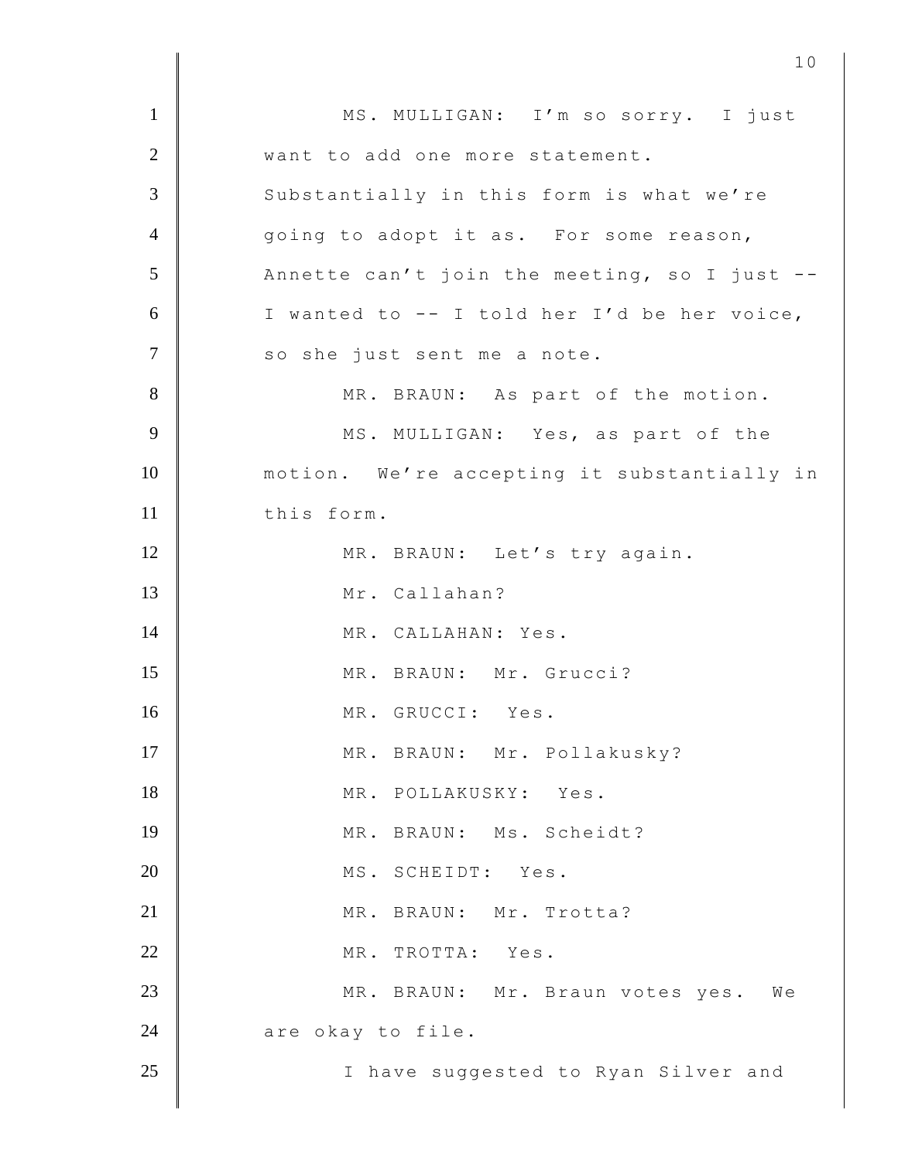1 | MS. MULLIGAN: I'm so sorry. I just 2 Want to add one more statement. 3 Substantially in this form is what we're 4 qoing to adopt it as. For some reason,  $5$   $\parallel$  Annette can't join the meeting, so I just -- $6$  | I wanted to -- I told her I'd be her voice, 7 | so she just sent me a note. 8 MR. BRAUN: As part of the motion. 9 MS. MULLIGAN: Yes, as part of the 10 motion. We're accepting it substantially in 11 this form. 12 MR. BRAUN: Let's try again. 13 Mr. Callahan? 14 MR. CALLAHAN: Yes. 15 | MR. BRAUN: Mr. Grucci? 16 MR. GRUCCI: Yes. 17 MR. BRAUN: Mr. Pollakusky? 18 MR. POLLAKUSKY: Yes. 19 MR. BRAUN: Ms. Scheidt? 20 | MS. SCHEIDT: Yes. 21 MR. BRAUN: Mr. Trotta? 22 MR. TROTTA: Yes. 23 MR. BRAUN: Mr. Braun votes yes. We 24 are okay to file. 25 | I have suggested to Ryan Silver and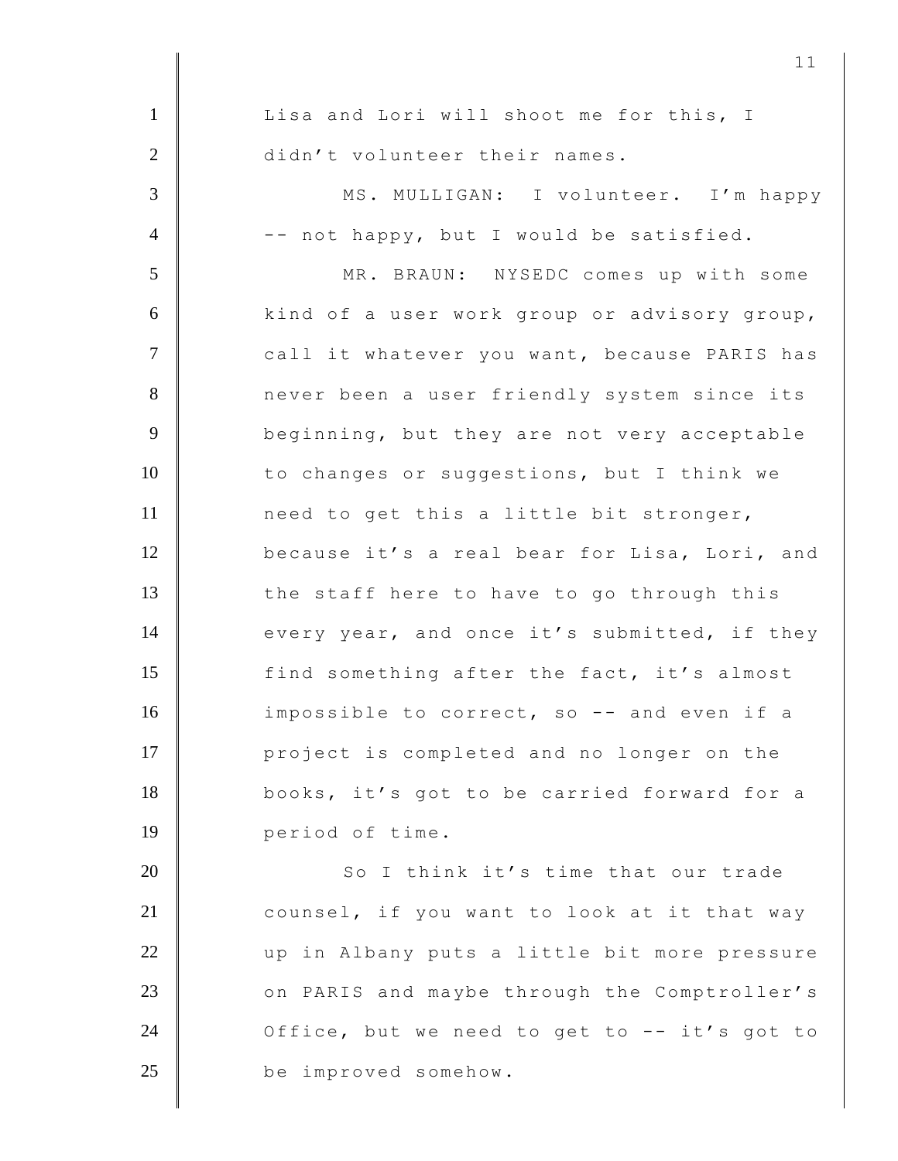| $\mathbf{1}$   | Lisa and Lori will shoot me for this, I      |
|----------------|----------------------------------------------|
| $\overline{2}$ | didn't volunteer their names.                |
| 3              | MS. MULLIGAN: I volunteer. I'm happy         |
| $\overline{4}$ | -- not happy, but I would be satisfied.      |
| 5              | MR. BRAUN: NYSEDC comes up with some         |
| 6              | kind of a user work group or advisory group, |
| $\tau$         | call it whatever you want, because PARIS has |
| 8              | never been a user friendly system since its  |
| 9              | beginning, but they are not very acceptable  |
| 10             | to changes or suggestions, but I think we    |
| 11             | need to get this a little bit stronger,      |
| 12             | because it's a real bear for Lisa, Lori, and |
| 13             | the staff here to have to go through this    |
| 14             | every year, and once it's submitted, if they |
| 15             | find something after the fact, it's almost   |
| 16             | impossible to correct, so -- and even if a   |
| 17             | project is completed and no longer on the    |
| 18             | books, it's got to be carried forward for a  |
| 19             | period of time.                              |
| 20             | So I think it's time that our trade          |
| 21             | counsel, if you want to look at it that way  |
| 22             | up in Albany puts a little bit more pressure |
| 23             | on PARIS and maybe through the Comptroller's |
| 24             | Office, but we need to get to -- it's got to |
| 25             | be improved somehow.                         |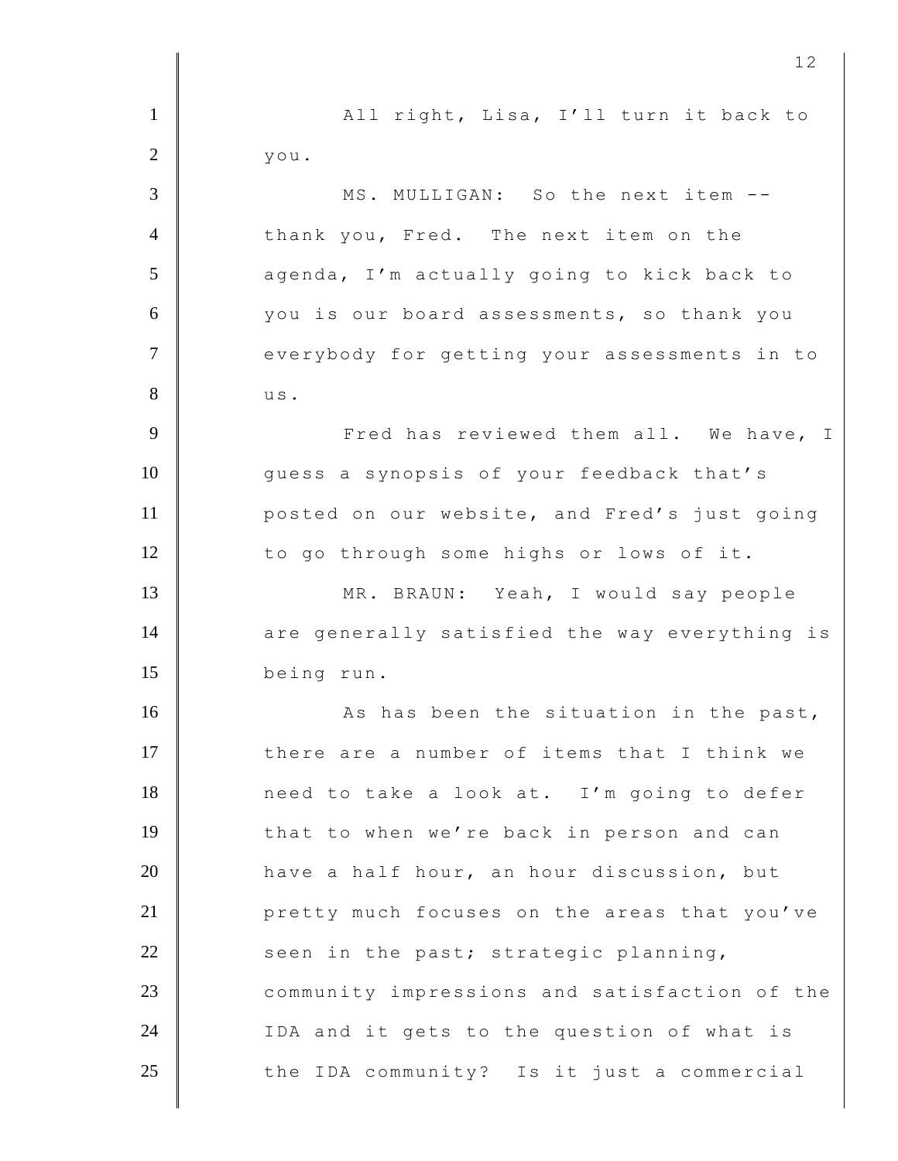1 | All right, Lisa, I'll turn it back to  $2 \parallel$  you. 3 MS. MULLIGAN: So the next item -- 4 thank you, Fred. The next item on the 5 agenda, I'm actually going to kick back to 6 you is our board assessments, so thank you 7 | everybody for getting your assessments in to  $8 \parallel$  us. 9 Tred has reviewed them all. We have, I 10 guess a synopsis of your feedback that's 11 **posted on our website, and Fred's just going** 12 to go through some highs or lows of it. 13 MR. BRAUN: Yeah, I would say people 14 are generally satisfied the way everything is 15 being run. 16 As has been the situation in the past, 17 there are a number of items that I think we 18 need to take a look at. I'm going to defer 19 that to when we're back in person and can 20 have a half hour, an hour discussion, but 21 **Quare 21** pretty much focuses on the areas that you've  $22$  seen in the past; strategic planning, 23 Community impressions and satisfaction of the 24  $\parallel$  IDA and it gets to the question of what is  $25$   $\parallel$  the IDA community? Is it just a commercial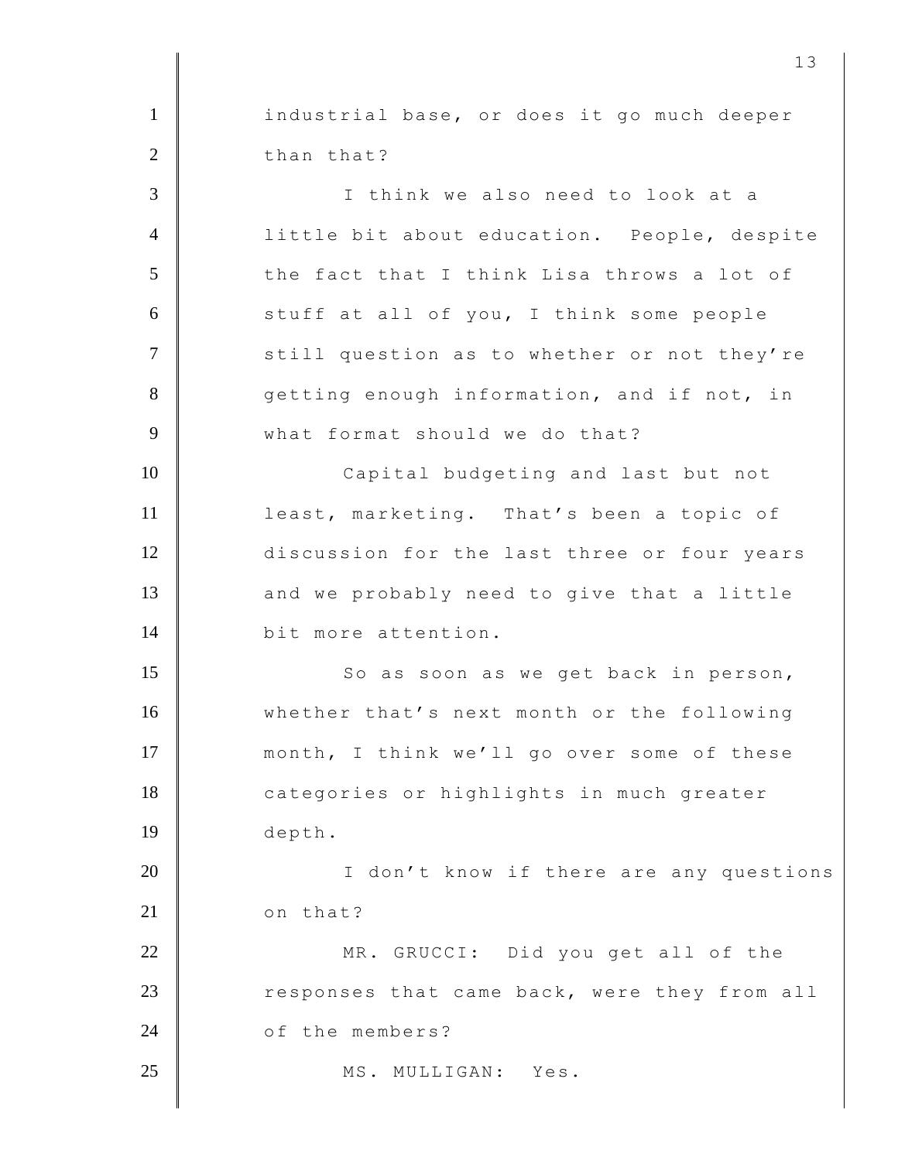1 industrial base, or does it go much deeper 2 than that? 3 I think we also need to look at a 4 | little bit about education. People, despite 5 the fact that I think Lisa throws a lot of 6 stuff at all of you, I think some people 7 Still question as to whether or not they're 8 getting enough information, and if not, in 9 what format should we do that? 10 | Capital budgeting and last but not 11 **least, marketing.** That's been a topic of 12 discussion for the last three or four years 13 and we probably need to give that a little 14 bit more attention. 15 So as soon as we get back in person, 16 whether that's next month or the following 17 month, I think we'll go over some of these 18 categories or highlights in much greater 19 depth. 20 I don't know if there are any questions 21 on that? 22 MR. GRUCCI: Did you get all of the 23 Tesponses that came back, were they from all 24 **c** of the members? 25 MS. MULLIGAN: Yes.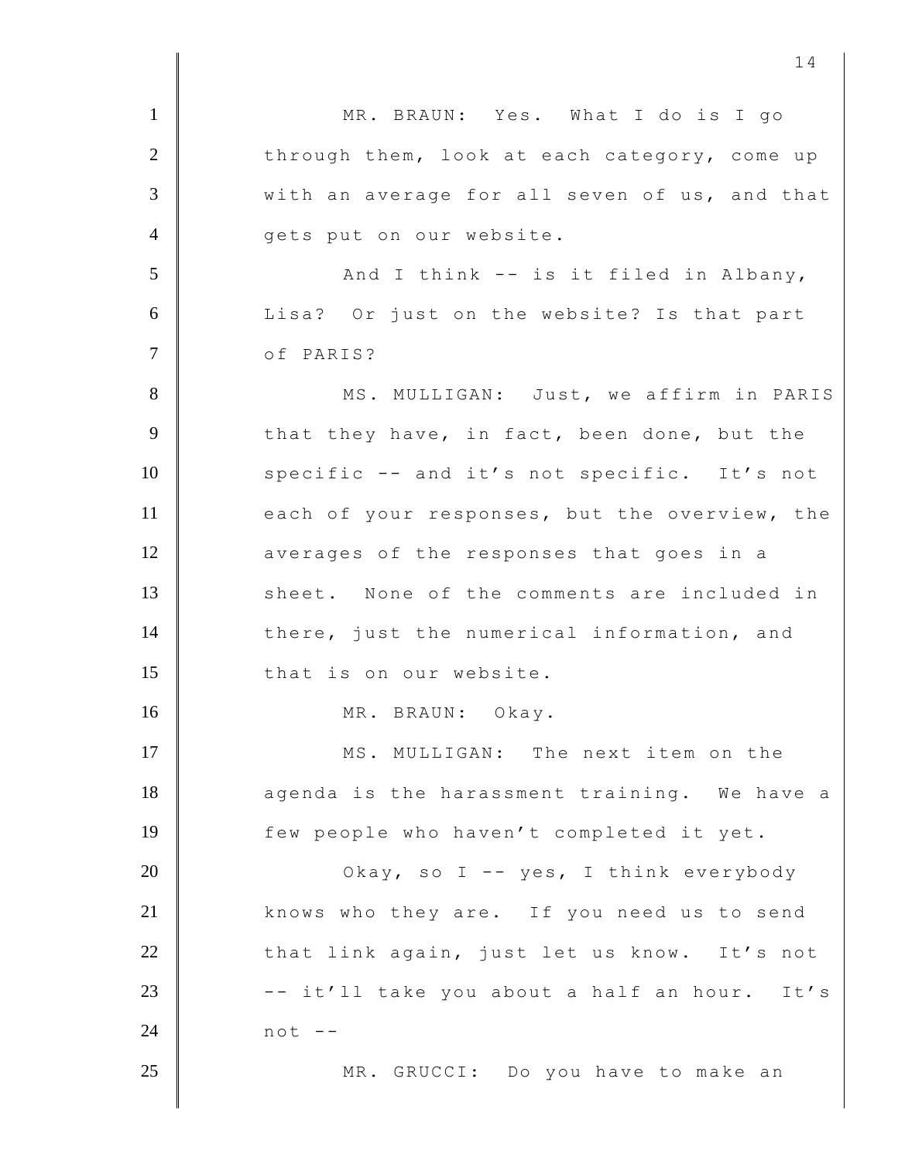| $\mathbf{1}$   | MR. BRAUN: Yes. What I do is I go             |
|----------------|-----------------------------------------------|
| $\overline{2}$ | through them, look at each category, come up  |
| $\overline{3}$ | with an average for all seven of us, and that |
| $\overline{4}$ | gets put on our website.                      |
| 5              | And I think -- is it filed in Albany,         |
| 6              | Lisa? Or just on the website? Is that part    |
| $\overline{7}$ | of PARIS?                                     |
| $8\,$          | MS. MULLIGAN: Just, we affirm in PARIS        |
| 9              | that they have, in fact, been done, but the   |
| 10             | specific -- and it's not specific. It's not   |
| 11             | each of your responses, but the overview, the |
| 12             | averages of the responses that goes in a      |
| 13             | sheet. None of the comments are included in   |
| 14             | there, just the numerical information, and    |
| 15             | that is on our website.                       |
| 16             | MR. BRAUN: Okay.                              |
| 17             | MS. MULLIGAN: The next item on the            |
| 18             | agenda is the harassment training. We have a  |
| 19             | few people who haven't completed it yet.      |
| 20             | Okay, so I -- yes, I think everybody          |
| 21             | knows who they are. If you need us to send    |
| 22             | that link again, just let us know. It's not   |
| 23             | -- it'll take you about a half an hour. It's  |
| 24             | $not --$                                      |
| 25             | MR. GRUCCI: Do you have to make an            |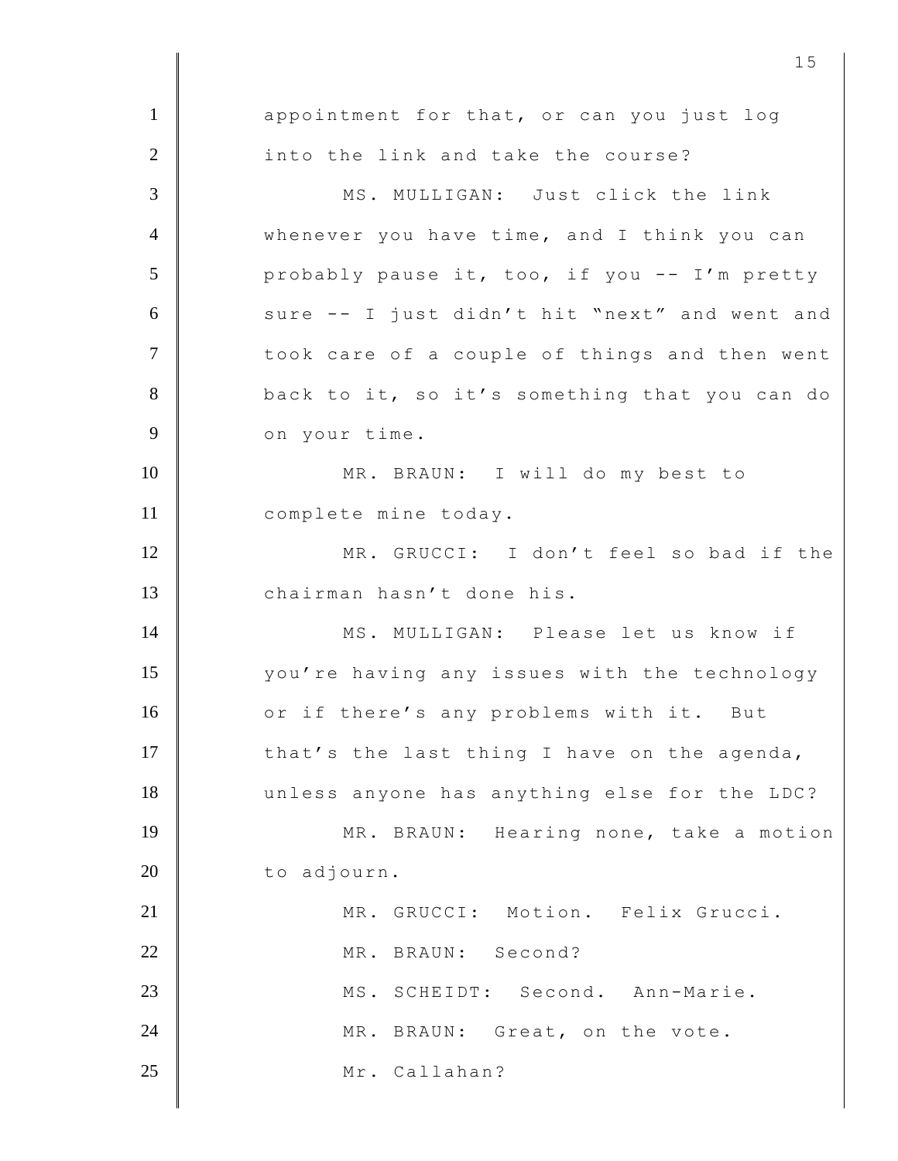1 appointment for that, or can you just log 2 into the link and take the course? 3 MS. MULLIGAN: Just click the link 4 whenever you have time, and I think you can 5 probably pause it, too, if you -- I'm pretty 6 sure -- I just didn't hit "next" and went and 7 | took care of a couple of things and then went 8 back to it, so it's something that you can do 9 on your time. 10 | MR. BRAUN: I will do my best to 11 | complete mine today. 12 MR. GRUCCI: I don't feel so bad if the 13 chairman hasn't done his. 14 MS. MULLIGAN: Please let us know if 15 | vou're having any issues with the technology 16 or if there's any problems with it. But 17 that's the last thing I have on the agenda, 18 unless anyone has anything else for the LDC? 19 MR. BRAUN: Hearing none, take a motion 20 to adjourn. 21 | MR. GRUCCI: Motion. Felix Grucci. 22 MR. BRAUN: Second? 23 | MS. SCHEIDT: Second. Ann-Marie. 24 MR. BRAUN: Great, on the vote. 25 Mr. Callahan?